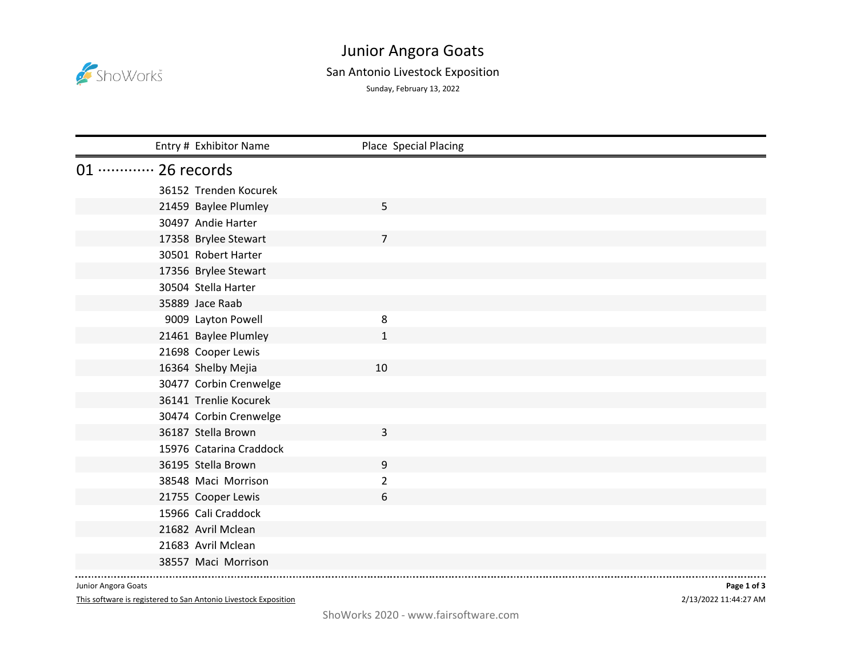

## Junior Angora Goats

## San Antonio Livestock Exposition

Sunday, February 13, 2022

| Entry # Exhibitor Name      | Place Special Placing |  |
|-----------------------------|-----------------------|--|
| 01 ············· 26 records |                       |  |
| 36152 Trenden Kocurek       |                       |  |
| 21459 Baylee Plumley        | 5                     |  |
| 30497 Andie Harter          |                       |  |
| 17358 Brylee Stewart        | $\overline{7}$        |  |
| 30501 Robert Harter         |                       |  |
| 17356 Brylee Stewart        |                       |  |
| 30504 Stella Harter         |                       |  |
| 35889 Jace Raab             |                       |  |
| 9009 Layton Powell          | 8                     |  |
| 21461 Baylee Plumley        | $\mathbf{1}$          |  |
| 21698 Cooper Lewis          |                       |  |
| 16364 Shelby Mejia          | 10                    |  |
| 30477 Corbin Crenwelge      |                       |  |
| 36141 Trenlie Kocurek       |                       |  |
| 30474 Corbin Crenwelge      |                       |  |
| 36187 Stella Brown          | 3                     |  |
| 15976 Catarina Craddock     |                       |  |
| 36195 Stella Brown          | 9                     |  |
| 38548 Maci Morrison         | $\overline{2}$        |  |
| 21755 Cooper Lewis          | 6                     |  |
| 15966 Cali Craddock         |                       |  |
| 21682 Avril Mclean          |                       |  |
| 21683 Avril Mclean          |                       |  |
| 38557 Maci Morrison         |                       |  |

Junior Angora Goats

This software is registered to San Antonio Livestock Exposition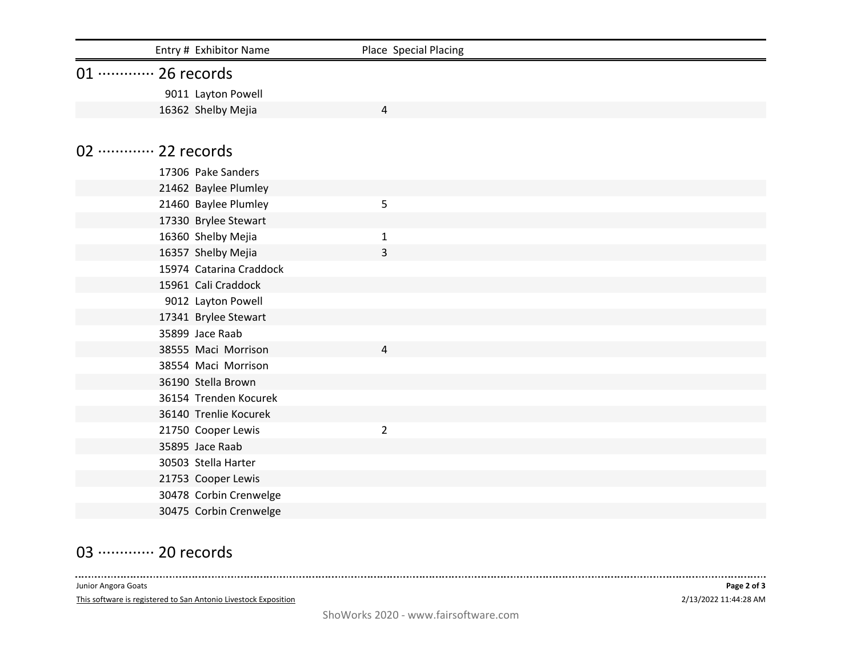| Entry # Exhibitor Name      | Place Special Placing |  |
|-----------------------------|-----------------------|--|
| 01 ············· 26 records |                       |  |
| 9011 Layton Powell          |                       |  |
| 16362 Shelby Mejia          | 4                     |  |
|                             |                       |  |
| 02 ············· 22 records |                       |  |
| 17306 Pake Sanders          |                       |  |
| 21462 Baylee Plumley        |                       |  |
| 21460 Baylee Plumley        | 5                     |  |
| 17330 Brylee Stewart        |                       |  |
| 16360 Shelby Mejia          | $\mathbf{1}$          |  |
| 16357 Shelby Mejia          | 3                     |  |
| 15974 Catarina Craddock     |                       |  |
| 15961 Cali Craddock         |                       |  |
| 9012 Layton Powell          |                       |  |
| 17341 Brylee Stewart        |                       |  |
| 35899 Jace Raab             |                       |  |
| 38555 Maci Morrison         | 4                     |  |
| 38554 Maci Morrison         |                       |  |
| 36190 Stella Brown          |                       |  |
| 36154 Trenden Kocurek       |                       |  |
| 36140 Trenlie Kocurek       |                       |  |
| 21750 Cooper Lewis          | $\overline{2}$        |  |
| 35895 Jace Raab             |                       |  |
| 30503 Stella Harter         |                       |  |
| 21753 Cooper Lewis          |                       |  |
| 30478 Corbin Crenwelge      |                       |  |
| 30475 Corbin Crenwelge      |                       |  |

## 03 ············· 20 records

 $- - - - - - - - - -$ 

This software is registered to San Antonio Livestock Exposition Junior Angora Goats

-----

----------------------------------